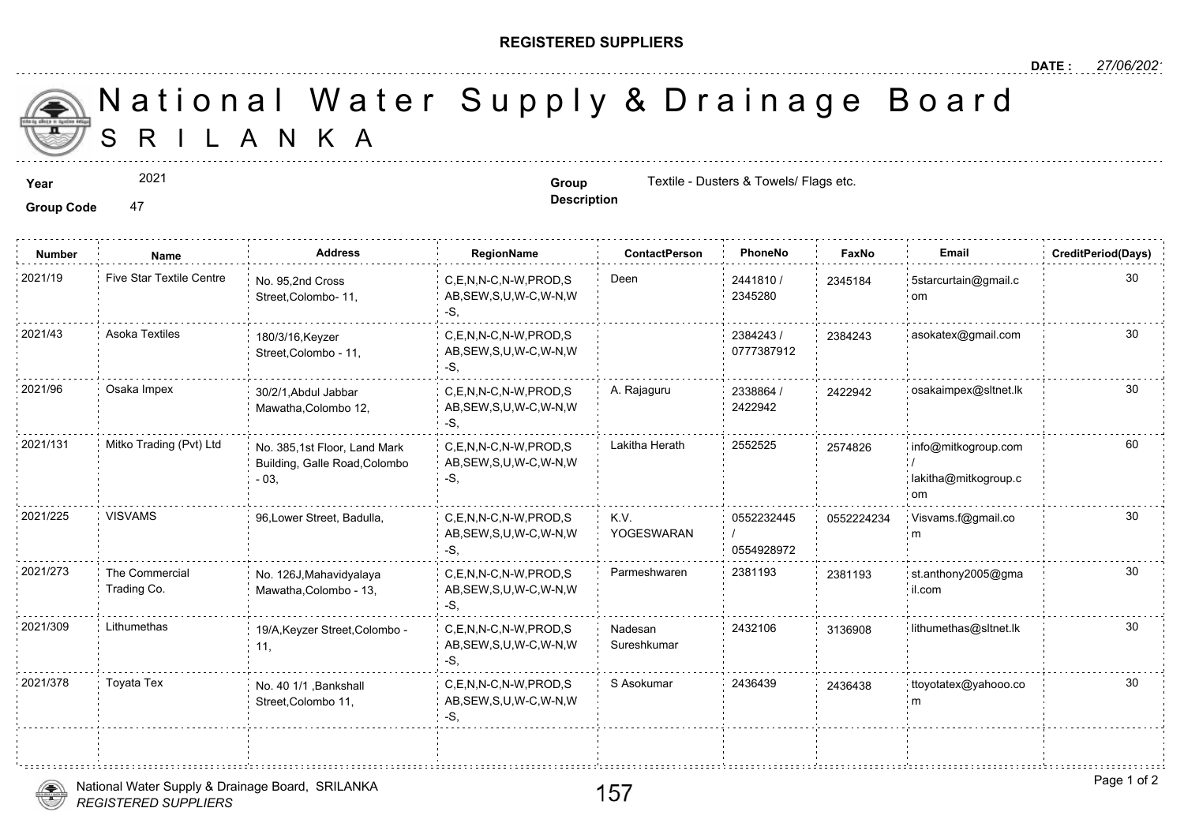## **REGISTERED SUPPLIERS**

**Description**

A N K A National Water Supply & Drainage

**Year Group** Textile - Dusters & Towels/ Flags etc.

Group Code 47

2021

**Number Name Address RegionName ContactPerson PhoneNo FaxNo Email CreditPeriod(Days)** 2441810 / 2345280 2021/19 Five Star Textile Centre <sub>No. 95,2nd Cross</sub> C,E,N,N-C,N-W,PROD,S Deen 2441810 / 234518 AB,SEW,S,U,W-C,W-N,W -S, No. 95,2nd Cross Street,Colombo- 11, 2345184 2384243 / 238424 0777387912 2021/43 Asoka Textiles 180/3/16,Keyzer C,E,N,N-C,N-W,PROD,S 2384243 / 238424 AB,SEW,S,U,W-C,W-N,W -S, 180/3/16,Keyzer Street,Colombo - 11, 2338864 / 24229 2422942 2021/96 Osaka Impex 30/2/1,Abdul Jabbar C,E,N,N-C,N-W,PROD,S A. Rajaguru 2338864 / 242294 AB,SEW,S,U,W-C,W-N,W -S, 30/2/1,Abdul Jabbar Mawatha,Colombo 12,  $C, E, N, N-C, N-W, PROD, S$  Lakitha Herath 2552525 AB,SEW,S,U,W-C,W-N,W -S, 2021/131 Mitko Trading (Pvt) Ltd No. 385,1st Floor, Land Mark C,E,N,N-C,N-W,PROD,S Lakitha Herath 2552525 257482 Building, Galle Road,Colombo - 03, 257482 0552232445 / 0554928972 K.V. YOGESWARAN C,E,N,N-C,N-W,PROD,S AB,SEW,S,U,W-C,W-N,W -S, 2021/225 VISVAMS 96,Lower Street, Badulla, 055222 C,E,N,N-C,N-W,PROD,S Parmeshwaren 2381193 AB,SEW,S,U,W-C,W-N,W -S, 2021/273 The Commercial : No. 126J,Mahavidyalaya C,E,N,N-C,N-W,PROD,S Parmeshwaren 2381193 238119 Mawatha,Colombo - 13, The Commercial Trading Co. 238119 Nadesan 2432106 313690 Sureshkumar C,E,N,N-C,N-W,PROD,S AB,SEW,S,U,W-C,W-N,W -S, 2021/309 Lithumethas . 19/A,Keyzer Street,Colombo C,E,N,N-C,N-W,PROD,S Nadesan . 2432106 313690 11, 2021/378 Toyata Tex No. 40 1/1 .Bankshall C,E,N,N-C,N-W,PROD,S S Asokumar 2436439 243643 AB,SEW,S,U,W-C,W-N,W -S, No. 40 1/1 ,Bankshall Street,Colombo 11, 243643